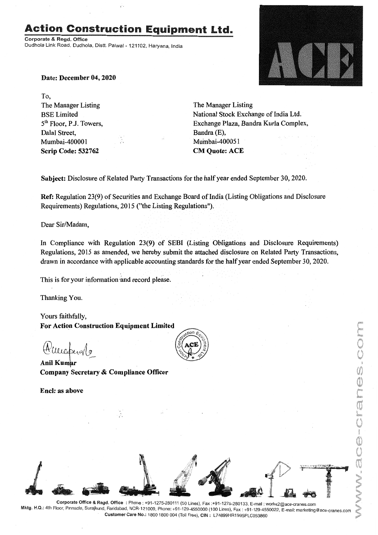## **Action Construction Equipment Ltd.**

Corporate & Regd. Office Dudhola Link Road, Dudhola, Distt. Palwal - 121102, Haryana, India



Date: December 04, 2020

To, The Manager Listing BSELimited 5<sup>th</sup> Floor, P.J. Towers, Dalal Street, Mumbai-400001 Scrip Code: 532762

The Manager Listing National Stock Exchange of India Ltd. Exchange Plaza, Bandra Kurla Complex, Bandra (E), Mumbai-400051 CM Quote: ACE

Subject: Disclosure of Related Party Transactions for the half year ended September 30, 2020.

Ref: Regulation 23(9) of Securities and Exchange Board of India (Listing Obligations and Disclosure Requirements) Regulations, 2015 ("the Listing Regulations").

Dear Sir/Madam,

In Compliance with Regulation 23(9) of SEBI (Listing Obligations and Disclosure Requirements) Regulations, 2015 as amended, we hereby submit the attached disclosure on Related Party Transactions, drawn in accordance with applicable accounting standards for the half year ended September 30, 2020.

This is for your information 'and record please.

Thanking You.

Yours faithfully, For Action Construction Equipment Limited

*Hilllebrall* 

Company Secretary & Compliance Officer

Encl: as above





Corporate Office & Regd. Office: Phone: +91-1275-280111(50 Lines), Fax:+91-1275-280133, E-mail: works2@ace-cranes.com Mktg. H.Q.: 4th Floor, Pinnacle, Surajkund, Faridabad, NCR-121009, Phone: +91-129-4550000 (100 Lines), Fax: +91-129-4550022, E-mail: marketing@ace-cranes.com Customer Care No.: 1800 1800004 (Toll Free), CIN: L74899HR1995PLC053860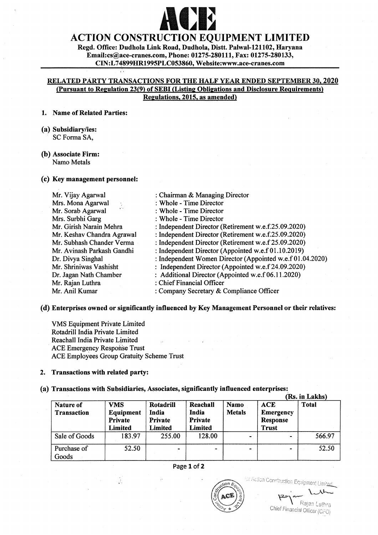# ACTION CONSTRUCTION EQUIPMENT LIMITED

Regd. Office: Dudhola Link Road, Dudhola, Distt. Palwal-121102, Baryana Email:cs@ace-cranes.com, Phone: 01275-280111, Fax: 01275-280133, CIN:L 74899HR1995PLC053860, Website:www.ace-cranes.com

#### RELATED PARTY TRANSACTIONS FOR THE HALF YEAR ENDED SEPTEMBER 30, 2020 (pursuant to Regulation 23(9) of SEBI (Listing Obligations and Disclosure Requirements) Regulations. 2015. as amended)

#### 1. Name of Related Parties:

(a) Subsidiary/ies: SC Forma SA,

#### (b) Associate Firm: Namo Metals

#### (c) Key management personnel:

| Mr. Vijay Agarwal                               | : Chairman & Managing Director                            |
|-------------------------------------------------|-----------------------------------------------------------|
| Mrs. Mona Agarwal<br>$\frac{1}{2} \frac{d}{dt}$ | : Whole - Time Director                                   |
| Mr. Sorab Agarwal                               | : Whole - Time Director                                   |
| Mrs. Surbhi Garg                                | : Whole - Time Director                                   |
| Mr. Girish Narain Mehra                         | : Independent Director (Retirement w.e.f.25.09.2020)      |
| Mr. Keshav Chandra Agrawal                      | : Independent Director (Retirement w.e.f.25.09.2020)      |
| Mr. Subhash Chander Verma                       | : Independent Director (Retirement w.e.f 25.09.2020)      |
| Mr. Avinash Parkash Gandhi                      | : Independent Director (Appointed w.e.f 01.10.2019)       |
| Dr. Divya Singhal                               | : Independent Women Director (Appointed w.e.f 01.04.2020) |
| Mr. Shriniwas Vashisht                          | : Independent Director (Appointed w.e.f 24.09.2020)       |
| Dr. Jagan Nath Chamber                          | : Additional Director (Appointed w.e.f 06.11.2020)        |
| Mr. Rajan Luthra                                | : Chief Financial Officer                                 |
| Mr. Anil Kumar                                  | : Company Secretary & Compliance Officer                  |
|                                                 |                                                           |

#### (d) Enterprises owned or significantly influenced by Key Management Personnel or their relatives:

VMS Equipment Private Limited Rotadrill India Private Limited Reachall India Private Limited ACE Emergency Response Trust ACE Employees Group Gratuity Scheme Trust

 $\frac{1}{\sqrt{2}}$ 

#### 2. Transactions with related party:

### (a) Transactions with Subsidiaries, Associates, significantly influenced enterprises:

|                                 |                                               |                                                 |                                         |                              |                                                                   | (Rs. in Lakhs) |
|---------------------------------|-----------------------------------------------|-------------------------------------------------|-----------------------------------------|------------------------------|-------------------------------------------------------------------|----------------|
| Nature of<br><b>Transaction</b> | <b>VMS</b><br>Equipment<br>Private<br>Limited | Rotadrill<br>India<br><b>Private</b><br>Limited | Reachall<br>India<br>Private<br>Limited | <b>Namo</b><br><b>Metals</b> | <b>ACE</b><br><b>Emergency</b><br><b>Response</b><br><b>Trust</b> | <b>Total</b>   |
| Sale of Goods                   | 183.97                                        | 255.00                                          | 128.00                                  | $\overline{\phantom{0}}$     |                                                                   | 566.97         |
| Purchase of<br>Goods            | 52.50                                         |                                                 | $\blacksquare$                          |                              | ۰.                                                                | 52.50          |

#### Page 1 of 2



ंटर Action Construction Equipment Limit<u>e</u>

Rajan Luthra

Chief Financial Officer (CFO)